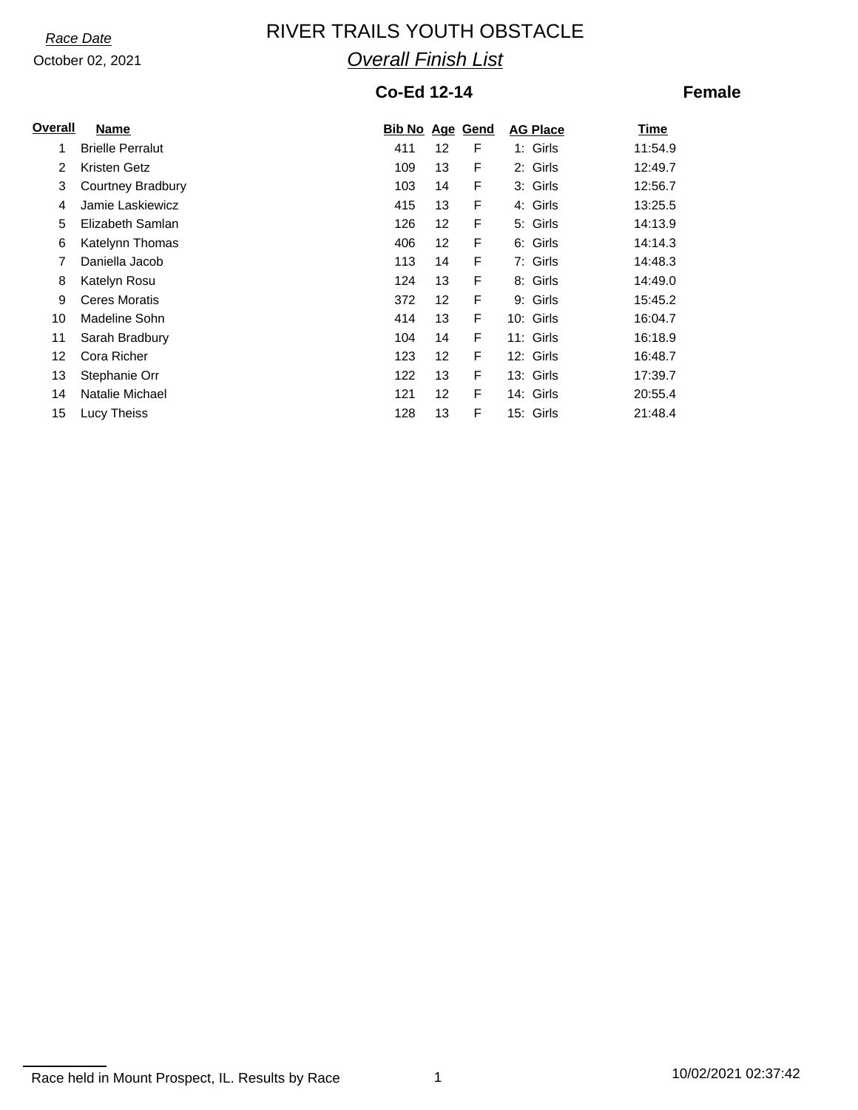# *Race Date* **RIVER TRAILS YOUTH OBSTACLE** *Overall Finish List*

### **Co-Ed 12-14**

### **Female**

| Overall | <b>Name</b>             | <b>Bib No Age Gend</b> |    |   | <b>AG Place</b> | <b>Time</b> |
|---------|-------------------------|------------------------|----|---|-----------------|-------------|
| 1       | <b>Brielle Perralut</b> | 411                    | 12 | F | 1: Girls        | 11:54.9     |
| 2       | Kristen Getz            | 109                    | 13 | F | 2: Girls        | 12:49.7     |
| 3       | Courtney Bradbury       | 103                    | 14 | F | 3: Girls        | 12:56.7     |
| 4       | Jamie Laskiewicz        | 415                    | 13 | F | 4: Girls        | 13:25.5     |
| 5       | Elizabeth Samlan        | 126                    | 12 | F | 5: Girls        | 14:13.9     |
| 6       | Katelynn Thomas         | 406                    | 12 | F | 6: Girls        | 14:14.3     |
| 7       | Daniella Jacob          | 113                    | 14 | F | 7: Girls        | 14:48.3     |
| 8       | Katelyn Rosu            | 124                    | 13 | F | 8: Girls        | 14:49.0     |
| 9       | <b>Ceres Moratis</b>    | 372                    | 12 | F | 9: Girls        | 15:45.2     |
| 10      | Madeline Sohn           | 414                    | 13 | F | 10: Girls       | 16:04.7     |
| 11      | Sarah Bradbury          | 104                    | 14 | F | 11: Girls       | 16:18.9     |
| 12      | Cora Richer             | 123                    | 12 | F | 12: Girls       | 16:48.7     |
| 13      | Stephanie Orr           | 122                    | 13 | F | 13: Girls       | 17:39.7     |
| 14      | Natalie Michael         | 121                    | 12 | F | 14: Girls       | 20:55.4     |
| 15      | Lucy Theiss             | 128                    | 13 | F | 15: Girls       | 21:48.4     |

Race held in Mount Prospect, IL. Results by Race 1 10/02/2021 02:37:42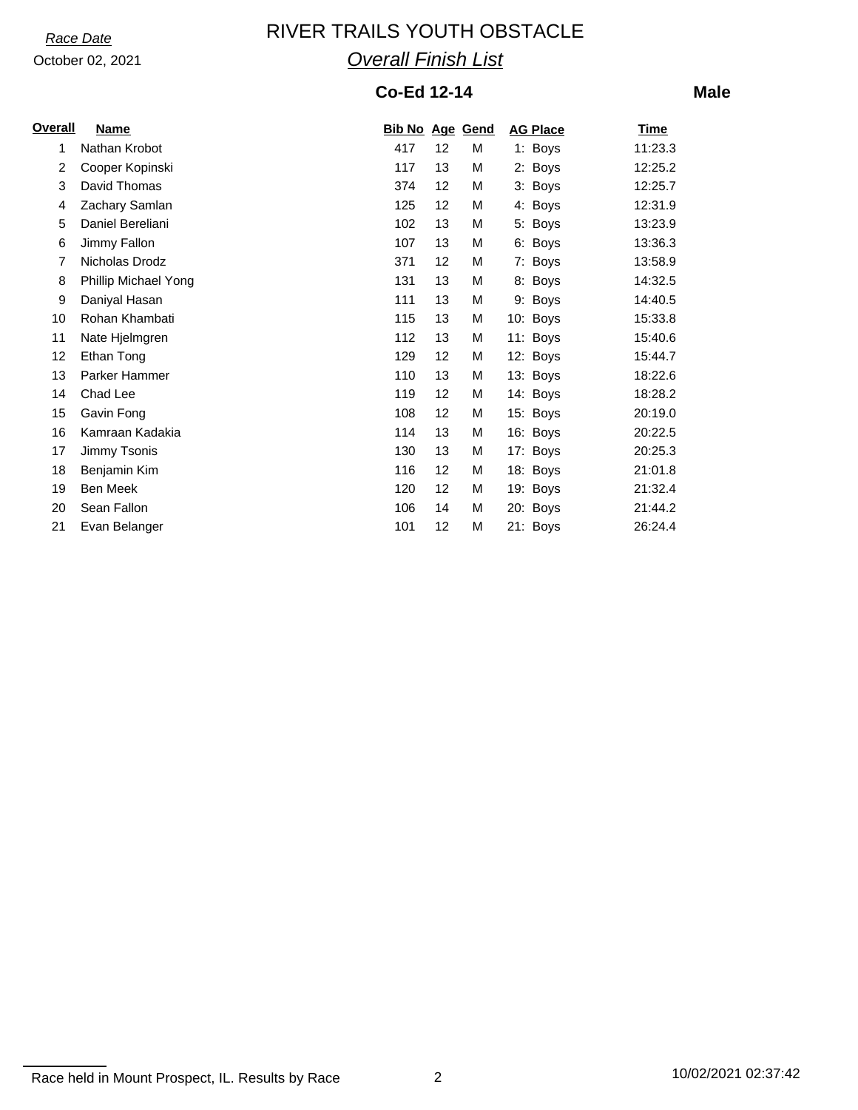# *Race Date* **RIVER TRAILS YOUTH OBSTACLE** *Overall Finish List*

### **Co-Ed 12-14**

**Male**

| <b>Overall</b> | <b>Name</b>          | <b>Bib No Age Gend</b> |    |   | <b>AG Place</b> | <b>Time</b> |
|----------------|----------------------|------------------------|----|---|-----------------|-------------|
| 1              | Nathan Krobot        | 417                    | 12 | М | 1: Boys         | 11:23.3     |
| 2              | Cooper Kopinski      | 117                    | 13 | M | 2: Boys         | 12:25.2     |
| 3              | David Thomas         | 374                    | 12 | M | 3: Boys         | 12:25.7     |
| 4              | Zachary Samlan       | 125                    | 12 | M | 4: Boys         | 12:31.9     |
| 5              | Daniel Bereliani     | 102                    | 13 | M | 5: Boys         | 13:23.9     |
| 6              | Jimmy Fallon         | 107                    | 13 | M | 6: Boys         | 13:36.3     |
| 7              | Nicholas Drodz       | 371                    | 12 | M | 7: Boys         | 13:58.9     |
| 8              | Phillip Michael Yong | 131                    | 13 | M | 8: Boys         | 14:32.5     |
| 9              | Daniyal Hasan        | 111                    | 13 | M | 9: Boys         | 14:40.5     |
| 10             | Rohan Khambati       | 115                    | 13 | Μ | 10: Boys        | 15:33.8     |
| 11             | Nate Hjelmgren       | 112                    | 13 | М | 11: Boys        | 15:40.6     |
| 12             | Ethan Tong           | 129                    | 12 | M | 12: Boys        | 15:44.7     |
| 13             | Parker Hammer        | 110                    | 13 | М | 13: Boys        | 18:22.6     |
| 14             | Chad Lee             | 119                    | 12 | М | 14: Boys        | 18:28.2     |
| 15             | Gavin Fong           | 108                    | 12 | М | 15: Boys        | 20:19.0     |
| 16             | Kamraan Kadakia      | 114                    | 13 | M | 16: Boys        | 20:22.5     |
| 17             | Jimmy Tsonis         | 130                    | 13 | М | 17: Boys        | 20:25.3     |
| 18             | Benjamin Kim         | 116                    | 12 | М | 18: Boys        | 21:01.8     |
| 19             | Ben Meek             | 120                    | 12 | М | 19: Boys        | 21:32.4     |
| 20             | Sean Fallon          | 106                    | 14 | M | 20: Boys        | 21:44.2     |
| 21             | Evan Belanger        | 101                    | 12 | М | 21: Boys        | 26:24.4     |

Race held in Mount Prospect, IL. Results by Race 2 10/02/2021 02:37:42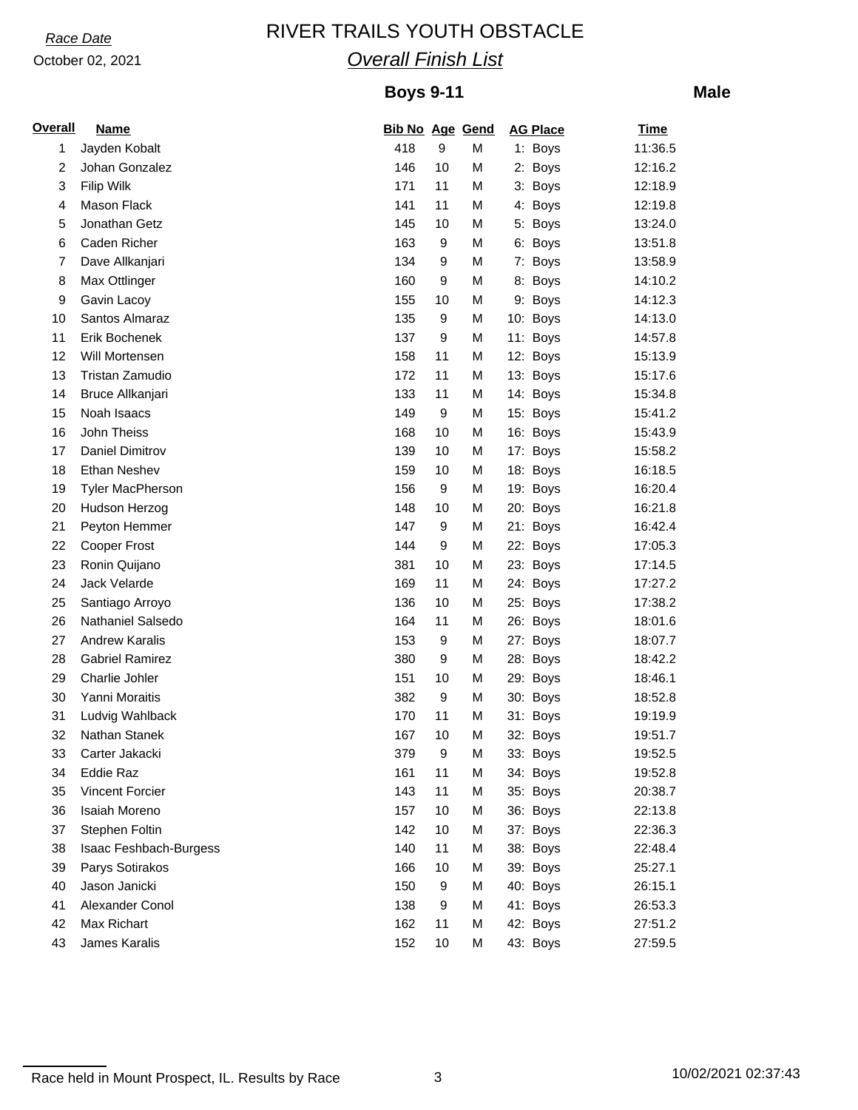# *Race Date* **RIVER TRAILS YOUTH OBSTACLE** *Overall Finish List*

### **Boys 9-11**

**Male**

| <b>Overall</b> | <b>Name</b>             | <b>Bib No Age Gend</b> |                  |   | <b>AG Place</b> | <b>Time</b> |
|----------------|-------------------------|------------------------|------------------|---|-----------------|-------------|
| 1              | Jayden Kobalt           | 418                    | 9                | м | 1: Boys         | 11:36.5     |
| 2              | Johan Gonzalez          | 146                    | 10               | M | 2: Boys         | 12:16.2     |
| 3              | Filip Wilk              | 171                    | 11               | M | 3: Boys         | 12:18.9     |
| 4              | Mason Flack             | 141                    | 11               | M | 4: Boys         | 12:19.8     |
| 5              | Jonathan Getz           | 145                    | 10               | M | 5: Boys         | 13:24.0     |
| 6              | Caden Richer            | 163                    | 9                | M | 6: Boys         | 13:51.8     |
| $\overline{7}$ | Dave Allkanjari         | 134                    | 9                | M | 7: Boys         | 13:58.9     |
| 8              | Max Ottlinger           | 160                    | 9                | M | 8: Boys         | 14:10.2     |
| 9              | Gavin Lacoy             | 155                    | 10               | M | 9: Boys         | 14:12.3     |
| 10             | Santos Almaraz          | 135                    | 9                | М | 10: Boys        | 14:13.0     |
| 11             | Erik Bochenek           | 137                    | 9                | М | 11: Boys        | 14:57.8     |
| 12             | Will Mortensen          | 158                    | 11               | M | 12: Boys        | 15:13.9     |
| 13             | Tristan Zamudio         | 172                    | 11               | M | 13: Boys        | 15:17.6     |
| 14             | Bruce Allkanjari        | 133                    | 11               | M | 14: Boys        | 15:34.8     |
| 15             | Noah Isaacs             | 149                    | 9                | M | 15: Boys        | 15:41.2     |
| 16             | John Theiss             | 168                    | 10               | М | 16: Boys        | 15:43.9     |
| 17             | Daniel Dimitrov         | 139                    | 10               | м | 17: Boys        | 15:58.2     |
| 18             | Ethan Neshev            | 159                    | 10               | М | 18: Boys        | 16:18.5     |
| 19             | <b>Tyler MacPherson</b> | 156                    | 9                | м | 19: Boys        | 16:20.4     |
| 20             | Hudson Herzog           | 148                    | 10               | М | 20: Boys        | 16:21.8     |
| 21             | Peyton Hemmer           | 147                    | 9                | M | 21: Boys        | 16:42.4     |
| 22             | Cooper Frost            | 144                    | 9                | M | 22: Boys        | 17:05.3     |
| 23             | Ronin Quijano           | 381                    | 10               | M | 23: Boys        | 17:14.5     |
| 24             | Jack Velarde            | 169                    | 11               | М | 24: Boys        | 17:27.2     |
| 25             | Santiago Arroyo         | 136                    | 10               | м | 25: Boys        | 17:38.2     |
| 26             | Nathaniel Salsedo       | 164                    | 11               | М | 26: Boys        | 18:01.6     |
| 27             | <b>Andrew Karalis</b>   | 153                    | 9                | Μ | 27: Boys        | 18:07.7     |
| 28             | <b>Gabriel Ramirez</b>  | 380                    | 9                | M | 28: Boys        | 18:42.2     |
| 29             | Charlie Johler          | 151                    | 10               | M | 29: Boys        | 18:46.1     |
| 30             | Yanni Moraitis          | 382                    | 9                | M | 30: Boys        | 18:52.8     |
| 31             | Ludvig Wahlback         | 170                    | 11               | M | 31: Boys        | 19:19.9     |
| 32             | Nathan Stanek           | 167                    | 10               | М | 32: Boys        | 19:51.7     |
| 33             | Carter Jakacki          | 379                    | $\boldsymbol{9}$ | M | 33: Boys        | 19:52.5     |
| 34             | Eddie Raz               | 161                    | 11               | M | 34: Boys        | 19:52.8     |
| 35             | <b>Vincent Forcier</b>  | 143                    | 11               | М | 35: Boys        | 20:38.7     |
| 36             | Isaiah Moreno           | 157                    | 10               | М | 36: Boys        | 22:13.8     |
| 37             | Stephen Foltin          | 142                    | 10               | м | 37: Boys        | 22:36.3     |
| 38             | Isaac Feshbach-Burgess  | 140                    | 11               | м | 38: Boys        | 22:48.4     |
| 39             | Parys Sotirakos         | 166                    | 10               | М | 39: Boys        | 25:27.1     |
| 40             | Jason Janicki           | 150                    | 9                | М | 40: Boys        | 26:15.1     |
| 41             | Alexander Conol         | 138                    | 9                | м | 41: Boys        | 26:53.3     |
| 42             | Max Richart             | 162                    | 11               | м | 42: Boys        | 27:51.2     |
| 43             | James Karalis           | 152                    | 10               | М | 43: Boys        | 27:59.5     |

Race held in Mount Prospect, IL. Results by Race 3 10/02/2021 02:37:43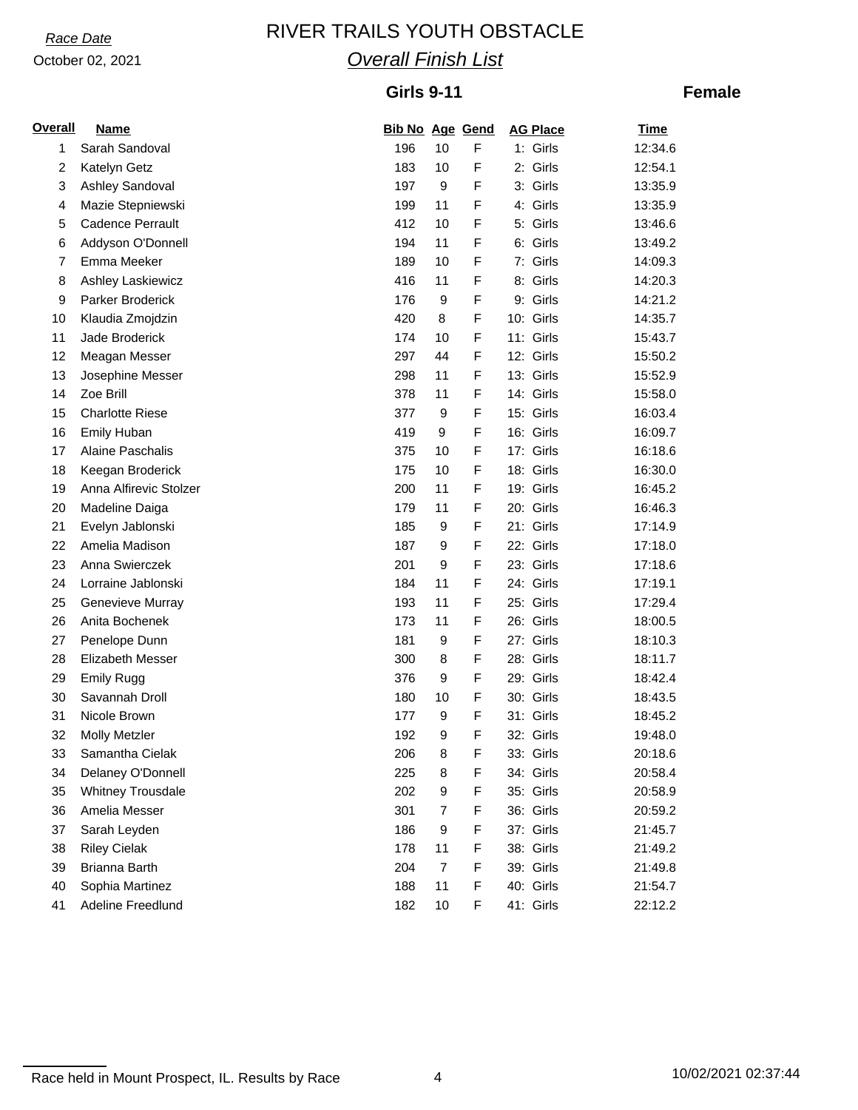# *Race Date* RIVER TRAILS YOUTH OBSTACLE *Overall Finish List*

### **Girls 9-11**

### **Female**

| <b>Overall</b> | <b>Name</b>              | <b>Bib No Age Gend</b> |                |   | <b>AG Place</b> | <b>Time</b> |
|----------------|--------------------------|------------------------|----------------|---|-----------------|-------------|
| 1              | Sarah Sandoval           | 196                    | 10             | F | 1: Girls        | 12:34.6     |
| 2              | Katelyn Getz             | 183                    | 10             | F | 2: Girls        | 12:54.1     |
| 3              | Ashley Sandoval          | 197                    | 9              | F | 3: Girls        | 13:35.9     |
| 4              | Mazie Stepniewski        | 199                    | 11             | F | 4: Girls        | 13:35.9     |
| 5              | <b>Cadence Perrault</b>  | 412                    | 10             | F | 5: Girls        | 13:46.6     |
| 6              | Addyson O'Donnell        | 194                    | 11             | F | 6: Girls        | 13:49.2     |
| $\overline{7}$ | Emma Meeker              | 189                    | 10             | F | 7: Girls        | 14:09.3     |
| 8              | Ashley Laskiewicz        | 416                    | 11             | F | 8: Girls        | 14:20.3     |
| 9              | Parker Broderick         | 176                    | 9              | F | 9: Girls        | 14:21.2     |
| 10             | Klaudia Zmojdzin         | 420                    | 8              | F | 10: Girls       | 14:35.7     |
| 11             | Jade Broderick           | 174                    | 10             | F | 11: Girls       | 15:43.7     |
| 12             | Meagan Messer            | 297                    | 44             | F | 12: Girls       | 15:50.2     |
| 13             | Josephine Messer         | 298                    | 11             | F | 13: Girls       | 15:52.9     |
| 14             | Zoe Brill                | 378                    | 11             | F | 14: Girls       | 15:58.0     |
| 15             | <b>Charlotte Riese</b>   | 377                    | 9              | F | 15: Girls       | 16:03.4     |
| 16             | Emily Huban              | 419                    | 9              | F | 16: Girls       | 16:09.7     |
| 17             | Alaine Paschalis         | 375                    | 10             | F | 17: Girls       | 16:18.6     |
| 18             | Keegan Broderick         | 175                    | 10             | F | 18: Girls       | 16:30.0     |
| 19             | Anna Alfirevic Stolzer   | 200                    | 11             | F | 19: Girls       | 16:45.2     |
| 20             | Madeline Daiga           | 179                    | 11             | F | 20: Girls       | 16:46.3     |
| 21             | Evelyn Jablonski         | 185                    | 9              | F | 21: Girls       | 17:14.9     |
| 22             | Amelia Madison           | 187                    | 9              | F | 22: Girls       | 17:18.0     |
| 23             | Anna Swierczek           | 201                    | 9              | F | 23: Girls       | 17:18.6     |
| 24             | Lorraine Jablonski       | 184                    | 11             | F | 24: Girls       | 17:19.1     |
| 25             | Genevieve Murray         | 193                    | 11             | F | 25: Girls       | 17:29.4     |
| 26             | Anita Bochenek           | 173                    | 11             | F | 26: Girls       | 18:00.5     |
| 27             | Penelope Dunn            | 181                    | 9              | F | 27: Girls       | 18:10.3     |
| 28             | <b>Elizabeth Messer</b>  | 300                    | 8              | F | 28: Girls       | 18:11.7     |
| 29             | <b>Emily Rugg</b>        | 376                    | 9              | F | 29: Girls       | 18:42.4     |
| 30             | Savannah Droll           | 180                    | 10             | F | 30: Girls       | 18:43.5     |
| 31             | Nicole Brown             | 177                    | 9              | F | 31: Girls       | 18:45.2     |
| 32             | <b>Molly Metzler</b>     | 192                    | 9              | F | 32: Girls       | 19:48.0     |
| 33             | Samantha Cielak          | 206                    | $\bf8$         | F | 33: Girls       | 20:18.6     |
| 34             | Delaney O'Donnell        | 225                    | 8              | F | 34: Girls       | 20:58.4     |
| 35             | <b>Whitney Trousdale</b> | 202                    | 9              | F | 35: Girls       | 20:58.9     |
| 36             | Amelia Messer            | 301                    | $\overline{7}$ | F | 36: Girls       | 20:59.2     |
| 37             | Sarah Leyden             | 186                    | 9              | F | 37: Girls       | 21:45.7     |
| 38             | <b>Riley Cielak</b>      | 178                    | 11             | F | 38: Girls       | 21:49.2     |
| 39             | Brianna Barth            | 204                    | $\overline{7}$ | F | 39: Girls       | 21:49.8     |
| 40             | Sophia Martinez          | 188                    | 11             | F | 40: Girls       | 21:54.7     |
| 41             | Adeline Freedlund        | 182                    | 10             | F | 41: Girls       | 22:12.2     |

Race held in Mount Prospect, IL. Results by Race 4 10/02/2021 02:37:44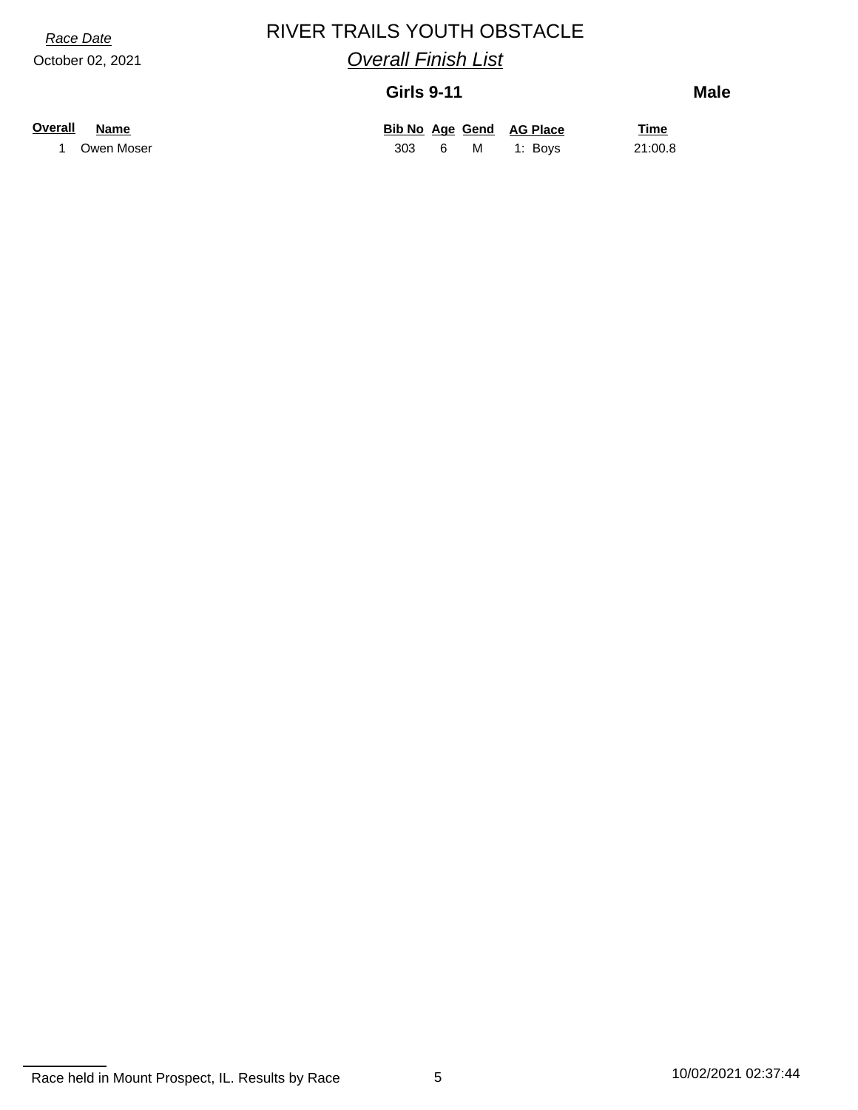# *Race Date* RIVER TRAILS YOUTH OBSTACLE

*Overall Finish List*

#### **Girls 9-11**

**Male**

| Overall | <b>Name</b> |
|---------|-------------|
|---------|-------------|

**Overall Name Bib No Age Time Gend AG Place** 1 Owen Moser 303 6 M 1: Boys 21:00.8

Race held in Mount Prospect, IL. Results by Race 5 10/02/2021 02:37:44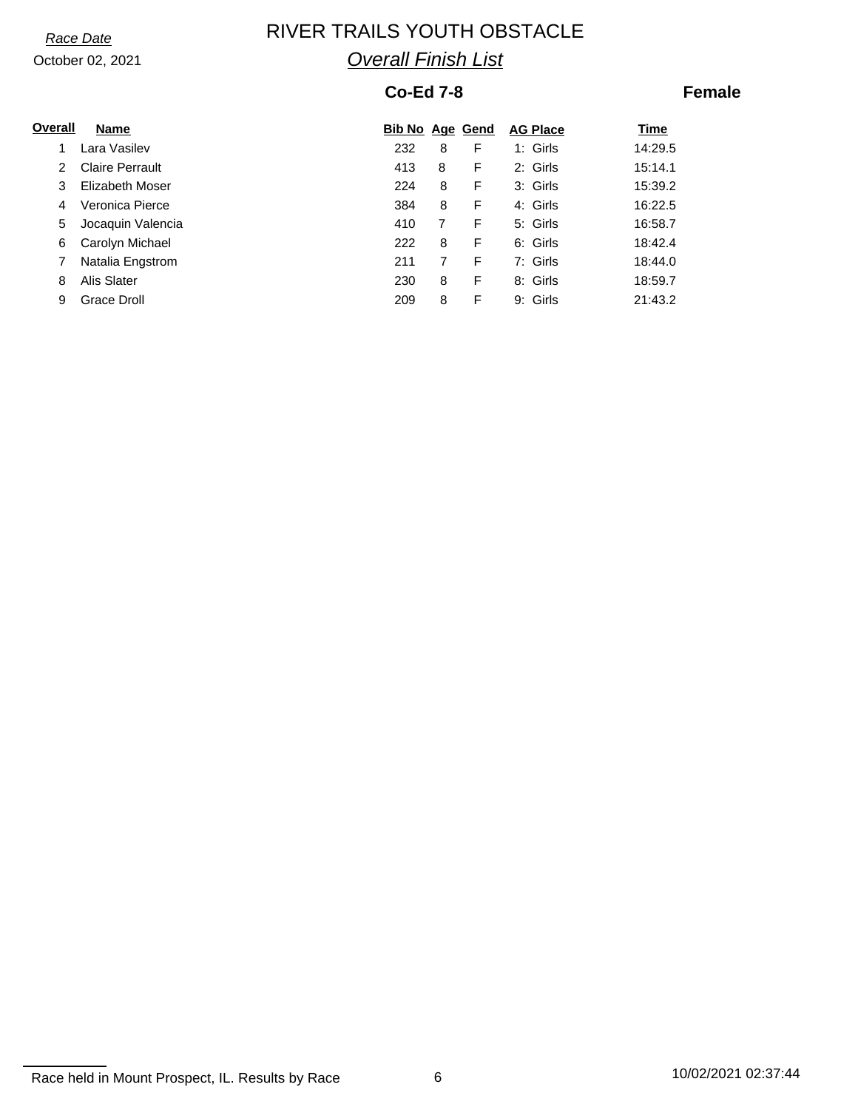# *Race Date* **RIVER TRAILS YOUTH OBSTACLE** *Overall Finish List*

### **Co-Ed 7-8**

### **Female**

| Overall | Name                   | <b>Bib No Age Gend</b> |   |   | <b>AG Place</b> | Time    |
|---------|------------------------|------------------------|---|---|-----------------|---------|
|         | Lara Vasilev           | 232                    | 8 | F | 1: Girls        | 14:29.5 |
| 2       | <b>Claire Perrault</b> | 413                    | 8 | F | 2: Girls        | 15:14.1 |
| 3       | Elizabeth Moser        | 224                    | 8 | F | 3: Girls        | 15:39.2 |
| 4       | Veronica Pierce        | 384                    | 8 | F | 4: Girls        | 16:22.5 |
| 5       | Jocaquin Valencia      | 410                    |   | F | 5: Girls        | 16:58.7 |
| 6       | Carolyn Michael        | 222                    | 8 | F | 6: Girls        | 18:42.4 |
|         | Natalia Engstrom       | 211                    |   | F | 7: Girls        | 18:44.0 |
| 8       | Alis Slater            | 230                    | 8 | F | 8: Girls        | 18:59.7 |
| 9       | Grace Droll            | 209                    | 8 | F | 9: Girls        | 21:43.2 |

Race held in Mount Prospect, IL. Results by Race 6 10/02/2021 02:37:44